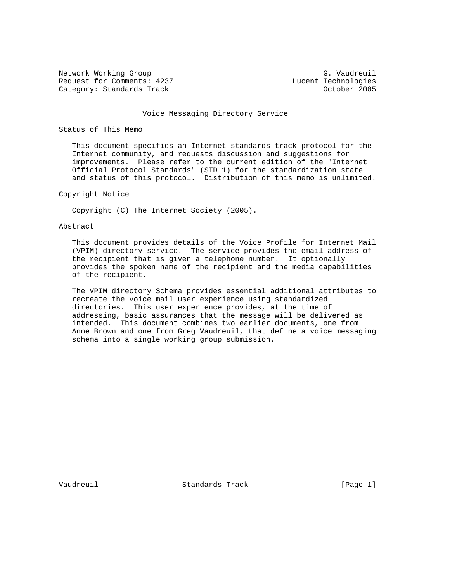Network Working Group G. Vaudreuil<br>Request for Comments: 4237 G. Vaudreuil Bequest for Comments: 4237 Request for Comments: 4237 Lucent Technologies<br>
Category: Standards Track (Category: 2005 Category: Standards Track

#### Voice Messaging Directory Service

# Status of This Memo

 This document specifies an Internet standards track protocol for the Internet community, and requests discussion and suggestions for improvements. Please refer to the current edition of the "Internet Official Protocol Standards" (STD 1) for the standardization state and status of this protocol. Distribution of this memo is unlimited.

## Copyright Notice

Copyright (C) The Internet Society (2005).

## Abstract

 This document provides details of the Voice Profile for Internet Mail (VPIM) directory service. The service provides the email address of the recipient that is given a telephone number. It optionally provides the spoken name of the recipient and the media capabilities of the recipient.

 The VPIM directory Schema provides essential additional attributes to recreate the voice mail user experience using standardized directories. This user experience provides, at the time of addressing, basic assurances that the message will be delivered as intended. This document combines two earlier documents, one from Anne Brown and one from Greg Vaudreuil, that define a voice messaging schema into a single working group submission.

Vaudreuil Standards Track [Page 1]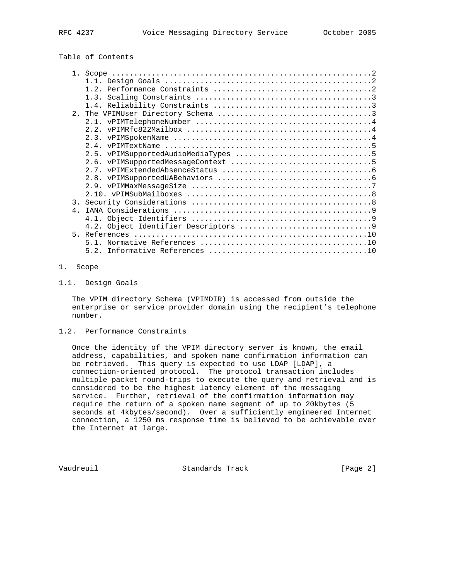# Table of Contents

| $\overline{3}$ . |  |
|------------------|--|
| 4 <sup>1</sup>   |  |
|                  |  |
|                  |  |
| 5.               |  |
|                  |  |
|                  |  |

# 1. Scope

1.1. Design Goals

 The VPIM directory Schema (VPIMDIR) is accessed from outside the enterprise or service provider domain using the recipient's telephone number.

1.2. Performance Constraints

 Once the identity of the VPIM directory server is known, the email address, capabilities, and spoken name confirmation information can be retrieved. This query is expected to use LDAP [LDAP], a connection-oriented protocol. The protocol transaction includes multiple packet round-trips to execute the query and retrieval and is considered to be the highest latency element of the messaging service. Further, retrieval of the confirmation information may require the return of a spoken name segment of up to 20kbytes (5 seconds at 4kbytes/second). Over a sufficiently engineered Internet connection, a 1250 ms response time is believed to be achievable over the Internet at large.

Vaudreuil Standards Track [Page 2]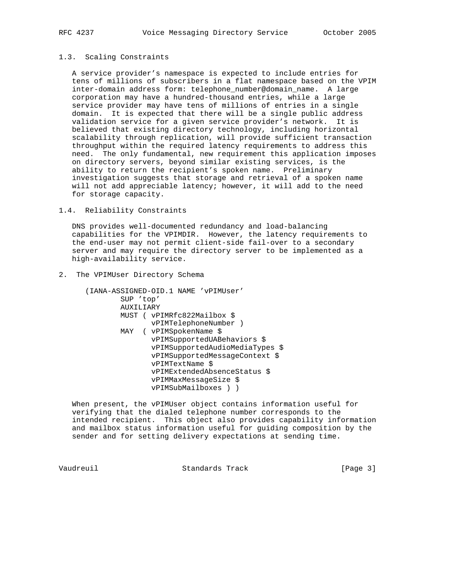#### 1.3. Scaling Constraints

 A service provider's namespace is expected to include entries for tens of millions of subscribers in a flat namespace based on the VPIM inter-domain address form: telephone\_number@domain\_name. A large corporation may have a hundred-thousand entries, while a large service provider may have tens of millions of entries in a single domain. It is expected that there will be a single public address validation service for a given service provider's network. It is believed that existing directory technology, including horizontal scalability through replication, will provide sufficient transaction throughput within the required latency requirements to address this need. The only fundamental, new requirement this application imposes on directory servers, beyond similar existing services, is the ability to return the recipient's spoken name. Preliminary investigation suggests that storage and retrieval of a spoken name will not add appreciable latency; however, it will add to the need for storage capacity.

1.4. Reliability Constraints

 DNS provides well-documented redundancy and load-balancing capabilities for the VPIMDIR. However, the latency requirements to the end-user may not permit client-side fail-over to a secondary server and may require the directory server to be implemented as a high-availability service.

2. The VPIMUser Directory Schema

 (IANA-ASSIGNED-OID.1 NAME 'vPIMUser' SUP 'top' AUXILIARY MUST ( vPIMRfc822Mailbox \$ vPIMTelephoneNumber ) MAY ( vPIMSpokenName \$ vPIMSupportedUABehaviors \$ vPIMSupportedAudioMediaTypes \$ vPIMSupportedMessageContext \$ vPIMTextName \$ vPIMExtendedAbsenceStatus \$ vPIMMaxMessageSize \$ vPIMSubMailboxes ) )

 When present, the vPIMUser object contains information useful for verifying that the dialed telephone number corresponds to the intended recipient. This object also provides capability information and mailbox status information useful for guiding composition by the sender and for setting delivery expectations at sending time.

Vaudreuil **Standards Track** [Page 3]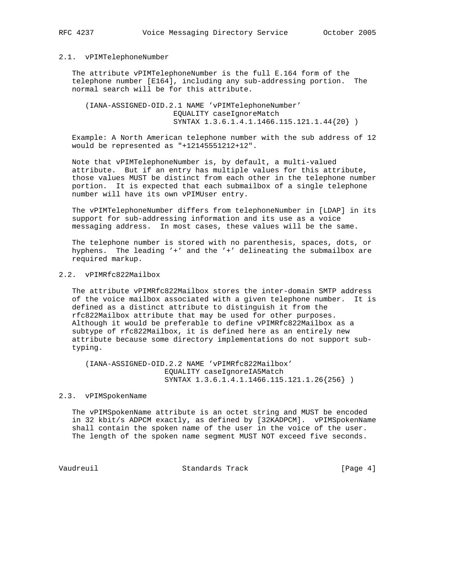#### 2.1. vPIMTelephoneNumber

 The attribute vPIMTelephoneNumber is the full E.164 form of the telephone number [E164], including any sub-addressing portion. The normal search will be for this attribute.

 (IANA-ASSIGNED-OID.2.1 NAME 'vPIMTelephoneNumber' EQUALITY caseIgnoreMatch SYNTAX 1.3.6.1.4.1.1466.115.121.1.44{20} )

 Example: A North American telephone number with the sub address of 12 would be represented as "+12145551212+12".

 Note that vPIMTelephoneNumber is, by default, a multi-valued attribute. But if an entry has multiple values for this attribute, those values MUST be distinct from each other in the telephone number portion. It is expected that each submailbox of a single telephone number will have its own vPIMUser entry.

 The vPIMTelephoneNumber differs from telephoneNumber in [LDAP] in its support for sub-addressing information and its use as a voice messaging address. In most cases, these values will be the same.

 The telephone number is stored with no parenthesis, spaces, dots, or hyphens. The leading '+' and the '+' delineating the submailbox are required markup.

# 2.2. vPIMRfc822Mailbox

 The attribute vPIMRfc822Mailbox stores the inter-domain SMTP address of the voice mailbox associated with a given telephone number. It is defined as a distinct attribute to distinguish it from the rfc822Mailbox attribute that may be used for other purposes. Although it would be preferable to define vPIMRfc822Mailbox as a subtype of rfc822Mailbox, it is defined here as an entirely new attribute because some directory implementations do not support sub typing.

 (IANA-ASSIGNED-OID.2.2 NAME 'vPIMRfc822Mailbox' EQUALITY caseIgnoreIA5Match SYNTAX 1.3.6.1.4.1.1466.115.121.1.26{256} )

#### 2.3. vPIMSpokenName

 The vPIMSpokenName attribute is an octet string and MUST be encoded in 32 kbit/s ADPCM exactly, as defined by [32KADPCM]. vPIMSpokenName shall contain the spoken name of the user in the voice of the user. The length of the spoken name segment MUST NOT exceed five seconds.

Vaudreuil Standards Track [Page 4]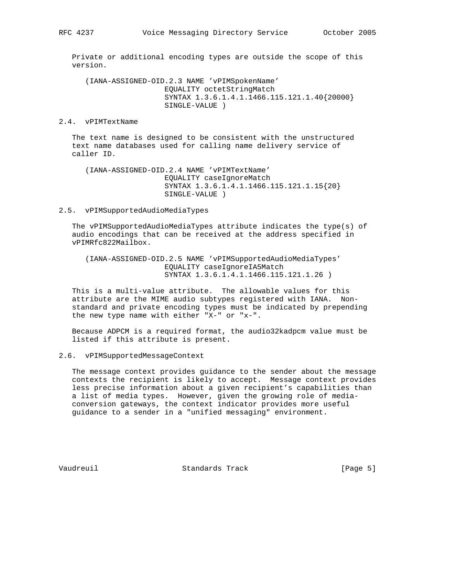Private or additional encoding types are outside the scope of this version.

 (IANA-ASSIGNED-OID.2.3 NAME 'vPIMSpokenName' EQUALITY octetStringMatch SYNTAX 1.3.6.1.4.1.1466.115.121.1.40{20000} SINGLE-VALUE )

#### 2.4. vPIMTextName

 The text name is designed to be consistent with the unstructured text name databases used for calling name delivery service of caller ID.

 (IANA-ASSIGNED-OID.2.4 NAME 'vPIMTextName' EQUALITY caseIgnoreMatch SYNTAX 1.3.6.1.4.1.1466.115.121.1.15{20} SINGLE-VALUE )

#### 2.5. vPIMSupportedAudioMediaTypes

 The vPIMSupportedAudioMediaTypes attribute indicates the type(s) of audio encodings that can be received at the address specified in vPIMRfc822Mailbox.

 (IANA-ASSIGNED-OID.2.5 NAME 'vPIMSupportedAudioMediaTypes' EQUALITY caseIgnoreIA5Match SYNTAX 1.3.6.1.4.1.1466.115.121.1.26 )

 This is a multi-value attribute. The allowable values for this attribute are the MIME audio subtypes registered with IANA. Non standard and private encoding types must be indicated by prepending the new type name with either "X-" or "x-".

 Because ADPCM is a required format, the audio32kadpcm value must be listed if this attribute is present.

#### 2.6. vPIMSupportedMessageContext

 The message context provides guidance to the sender about the message contexts the recipient is likely to accept. Message context provides less precise information about a given recipient's capabilities than a list of media types. However, given the growing role of media conversion gateways, the context indicator provides more useful guidance to a sender in a "unified messaging" environment.

Vaudreuil **Standards Track** [Page 5]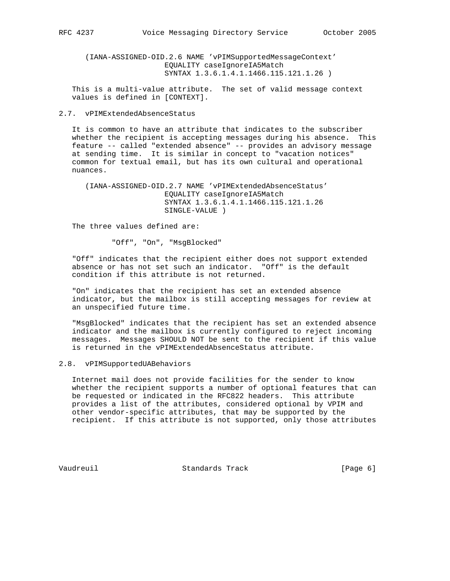(IANA-ASSIGNED-OID.2.6 NAME 'vPIMSupportedMessageContext' EQUALITY caseIgnoreIA5Match SYNTAX 1.3.6.1.4.1.1466.115.121.1.26 )

 This is a multi-value attribute. The set of valid message context values is defined in [CONTEXT].

## 2.7. vPIMExtendedAbsenceStatus

 It is common to have an attribute that indicates to the subscriber whether the recipient is accepting messages during his absence. This feature -- called "extended absence" -- provides an advisory message at sending time. It is similar in concept to "vacation notices" common for textual email, but has its own cultural and operational nuances.

 (IANA-ASSIGNED-OID.2.7 NAME 'vPIMExtendedAbsenceStatus' EQUALITY caseIgnoreIA5Match SYNTAX 1.3.6.1.4.1.1466.115.121.1.26 SINGLE-VALUE )

The three values defined are:

"Off", "On", "MsgBlocked"

 "Off" indicates that the recipient either does not support extended absence or has not set such an indicator. "Off" is the default condition if this attribute is not returned.

 "On" indicates that the recipient has set an extended absence indicator, but the mailbox is still accepting messages for review at an unspecified future time.

 "MsgBlocked" indicates that the recipient has set an extended absence indicator and the mailbox is currently configured to reject incoming messages. Messages SHOULD NOT be sent to the recipient if this value is returned in the vPIMExtendedAbsenceStatus attribute.

# 2.8. vPIMSupportedUABehaviors

 Internet mail does not provide facilities for the sender to know whether the recipient supports a number of optional features that can be requested or indicated in the RFC822 headers. This attribute provides a list of the attributes, considered optional by VPIM and other vendor-specific attributes, that may be supported by the recipient. If this attribute is not supported, only those attributes

Vaudreuil Standards Track [Page 6]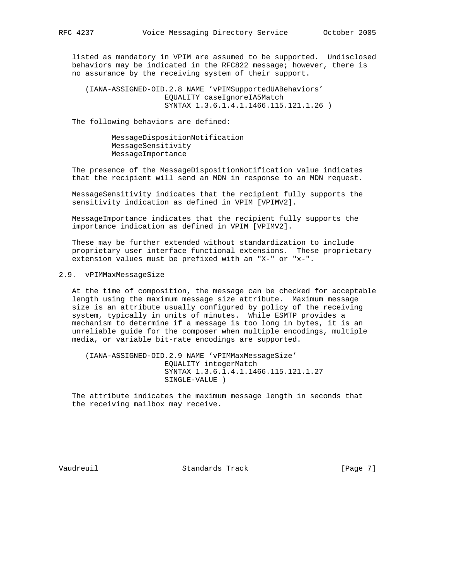listed as mandatory in VPIM are assumed to be supported. Undisclosed behaviors may be indicated in the RFC822 message; however, there is no assurance by the receiving system of their support.

 (IANA-ASSIGNED-OID.2.8 NAME 'vPIMSupportedUABehaviors' EQUALITY caseIgnoreIA5Match SYNTAX 1.3.6.1.4.1.1466.115.121.1.26 )

The following behaviors are defined:

 MessageDispositionNotification MessageSensitivity MessageImportance

 The presence of the MessageDispositionNotification value indicates that the recipient will send an MDN in response to an MDN request.

 MessageSensitivity indicates that the recipient fully supports the sensitivity indication as defined in VPIM [VPIMV2].

 MessageImportance indicates that the recipient fully supports the importance indication as defined in VPIM [VPIMV2].

 These may be further extended without standardization to include proprietary user interface functional extensions. These proprietary extension values must be prefixed with an "X-" or "x-".

## 2.9. vPIMMaxMessageSize

 At the time of composition, the message can be checked for acceptable length using the maximum message size attribute. Maximum message size is an attribute usually configured by policy of the receiving system, typically in units of minutes. While ESMTP provides a mechanism to determine if a message is too long in bytes, it is an unreliable guide for the composer when multiple encodings, multiple media, or variable bit-rate encodings are supported.

 (IANA-ASSIGNED-OID.2.9 NAME 'vPIMMaxMessageSize' EQUALITY integerMatch SYNTAX 1.3.6.1.4.1.1466.115.121.1.27 SINGLE-VALUE )

 The attribute indicates the maximum message length in seconds that the receiving mailbox may receive.

Vaudreuil **Standards Track** [Page 7]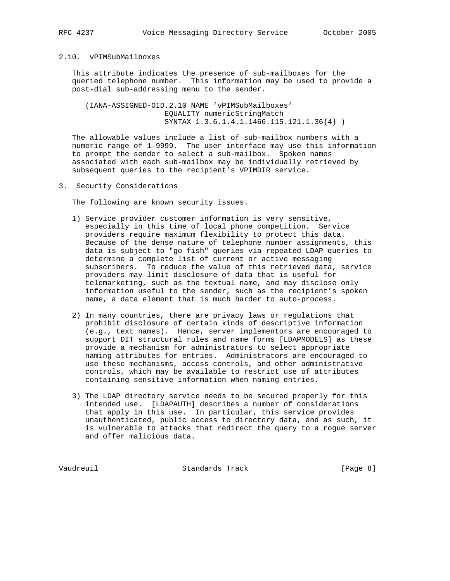# 2.10. vPIMSubMailboxes

 This attribute indicates the presence of sub-mailboxes for the queried telephone number. This information may be used to provide a post-dial sub-addressing menu to the sender.

 (IANA-ASSIGNED-OID.2.10 NAME 'vPIMSubMailboxes' EQUALITY numericStringMatch SYNTAX 1.3.6.1.4.1.1466.115.121.1.36{4} )

 The allowable values include a list of sub-mailbox numbers with a numeric range of 1-9999. The user interface may use this information to prompt the sender to select a sub-mailbox. Spoken names associated with each sub-mailbox may be individually retrieved by subsequent queries to the recipient's VPIMDIR service.

3. Security Considerations

The following are known security issues.

- 1) Service provider customer information is very sensitive, especially in this time of local phone competition. Service providers require maximum flexibility to protect this data. Because of the dense nature of telephone number assignments, this data is subject to "go fish" queries via repeated LDAP queries to determine a complete list of current or active messaging subscribers. To reduce the value of this retrieved data, service providers may limit disclosure of data that is useful for telemarketing, such as the textual name, and may disclose only information useful to the sender, such as the recipient's spoken name, a data element that is much harder to auto-process.
- 2) In many countries, there are privacy laws or regulations that prohibit disclosure of certain kinds of descriptive information (e.g., text names). Hence, server implementors are encouraged to support DIT structural rules and name forms [LDAPMODELS] as these provide a mechanism for administrators to select appropriate naming attributes for entries. Administrators are encouraged to use these mechanisms, access controls, and other administrative controls, which may be available to restrict use of attributes containing sensitive information when naming entries.
- 3) The LDAP directory service needs to be secured properly for this intended use. [LDAPAUTH] describes a number of considerations that apply in this use. In particular, this service provides unauthenticated, public access to directory data, and as such, it is vulnerable to attacks that redirect the query to a rogue server and offer malicious data.

Vaudreuil Standards Track [Page 8]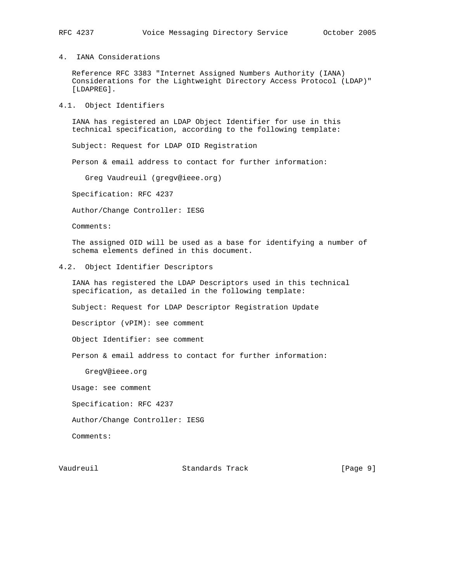4. IANA Considerations

 Reference RFC 3383 "Internet Assigned Numbers Authority (IANA) Considerations for the Lightweight Directory Access Protocol (LDAP)" [LDAPREG].

4.1. Object Identifiers

 IANA has registered an LDAP Object Identifier for use in this technical specification, according to the following template:

Subject: Request for LDAP OID Registration

Person & email address to contact for further information:

Greg Vaudreuil (gregv@ieee.org)

Specification: RFC 4237

Author/Change Controller: IESG

Comments:

 The assigned OID will be used as a base for identifying a number of schema elements defined in this document.

4.2. Object Identifier Descriptors

 IANA has registered the LDAP Descriptors used in this technical specification, as detailed in the following template:

Subject: Request for LDAP Descriptor Registration Update

Descriptor (vPIM): see comment

Object Identifier: see comment

Person & email address to contact for further information:

GregV@ieee.org

Usage: see comment

Specification: RFC 4237

Author/Change Controller: IESG

Comments:

Vaudreuil Standards Track [Page 9]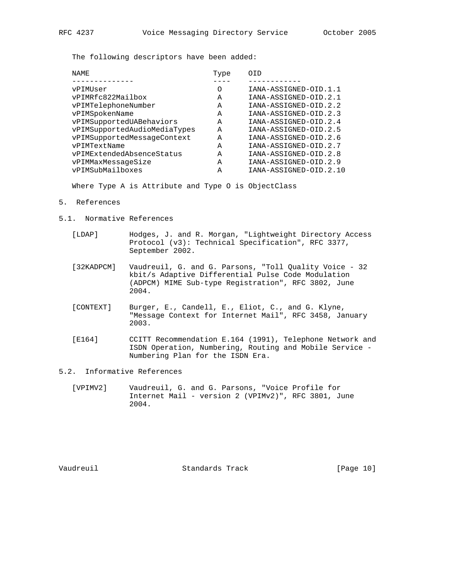The following descriptors have been added:

| NAME.                        | Type | OTD                    |
|------------------------------|------|------------------------|
|                              |      |                        |
| vPIMUser                     | Ω    | IANA-ASSIGNED-OID.1.1  |
| vPIMRfc822Mailbox            | A    | IANA-ASSIGNED-OID.2.1  |
| vPIMTelephoneNumber          | Α    | IANA-ASSIGNED-OID.2.2  |
| vPIMSpokenName               | A    | IANA-ASSIGNED-OID.2.3  |
| vPIMSupportedUABehaviors     | A    | IANA-ASSIGNED-OID.2.4  |
| vPIMSupportedAudioMediaTypes | A    | IANA-ASSIGNED-OID.2.5  |
| vPIMSupportedMessageContext  | A    | IANA-ASSIGNED-OID.2.6  |
| vPIMTextName                 | Α    | IANA-ASSIGNED-OID.2.7  |
| vPIMExtendedAbsenceStatus    | A    | IANA-ASSIGNED-OID.2.8  |
| vPIMMaxMessageSize           | Α    | IANA-ASSIGNED-OID.2.9  |
| vPIMSubMailboxes             | A    | IANA-ASSIGNED-OID.2.10 |
|                              |      |                        |

Where Type A is Attribute and Type O is ObjectClass

- 5. References
- 5.1. Normative References
	- [LDAP] Hodges, J. and R. Morgan, "Lightweight Directory Access Protocol (v3): Technical Specification", RFC 3377, September 2002.
	- [32KADPCM] Vaudreuil, G. and G. Parsons, "Toll Quality Voice 32 kbit/s Adaptive Differential Pulse Code Modulation (ADPCM) MIME Sub-type Registration", RFC 3802, June 2004.
	- [CONTEXT] Burger, E., Candell, E., Eliot, C., and G. Klyne, "Message Context for Internet Mail", RFC 3458, January 2003.
	- [E164] CCITT Recommendation E.164 (1991), Telephone Network and ISDN Operation, Numbering, Routing and Mobile Service - Numbering Plan for the ISDN Era.
- 5.2. Informative References
	- [VPIMV2] Vaudreuil, G. and G. Parsons, "Voice Profile for Internet Mail - version 2 (VPIMv2)", RFC 3801, June 2004.

Vaudreuil Standards Track [Page 10]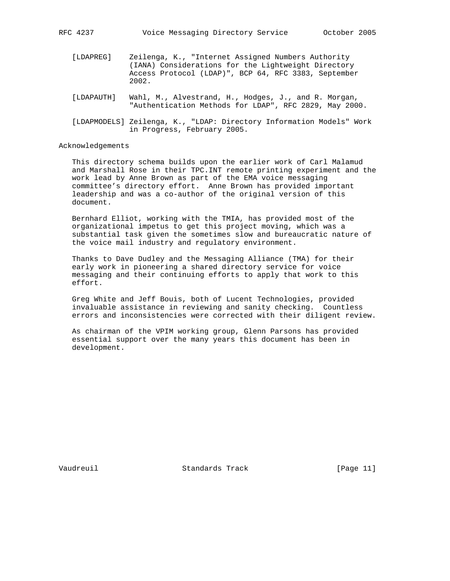- [LDAPREG] Zeilenga, K., "Internet Assigned Numbers Authority (IANA) Considerations for the Lightweight Directory Access Protocol (LDAP)", BCP 64, RFC 3383, September 2002.
- [LDAPAUTH] Wahl, M., Alvestrand, H., Hodges, J., and R. Morgan, "Authentication Methods for LDAP", RFC 2829, May 2000.
- [LDAPMODELS] Zeilenga, K., "LDAP: Directory Information Models" Work in Progress, February 2005.

## Acknowledgements

 This directory schema builds upon the earlier work of Carl Malamud and Marshall Rose in their TPC.INT remote printing experiment and the work lead by Anne Brown as part of the EMA voice messaging committee's directory effort. Anne Brown has provided important leadership and was a co-author of the original version of this document.

 Bernhard Elliot, working with the TMIA, has provided most of the organizational impetus to get this project moving, which was a substantial task given the sometimes slow and bureaucratic nature of the voice mail industry and regulatory environment.

 Thanks to Dave Dudley and the Messaging Alliance (TMA) for their early work in pioneering a shared directory service for voice messaging and their continuing efforts to apply that work to this effort.

 Greg White and Jeff Bouis, both of Lucent Technologies, provided invaluable assistance in reviewing and sanity checking. Countless errors and inconsistencies were corrected with their diligent review.

 As chairman of the VPIM working group, Glenn Parsons has provided essential support over the many years this document has been in development.

Vaudreuil Standards Track [Page 11]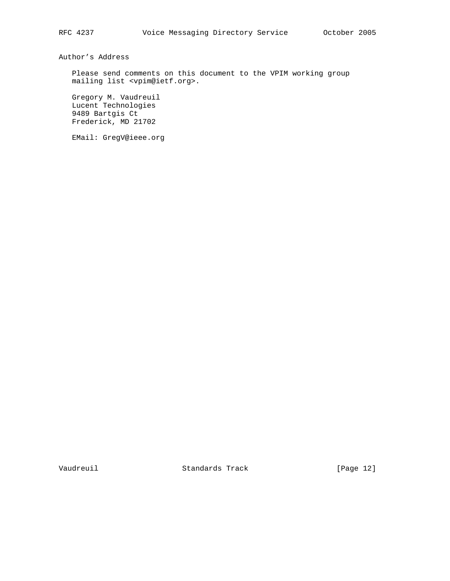Author's Address

 Please send comments on this document to the VPIM working group mailing list <vpim@ietf.org>.

 Gregory M. Vaudreuil Lucent Technologies 9489 Bartgis Ct Frederick, MD 21702

EMail: GregV@ieee.org

Vaudreuil Standards Track [Page 12]